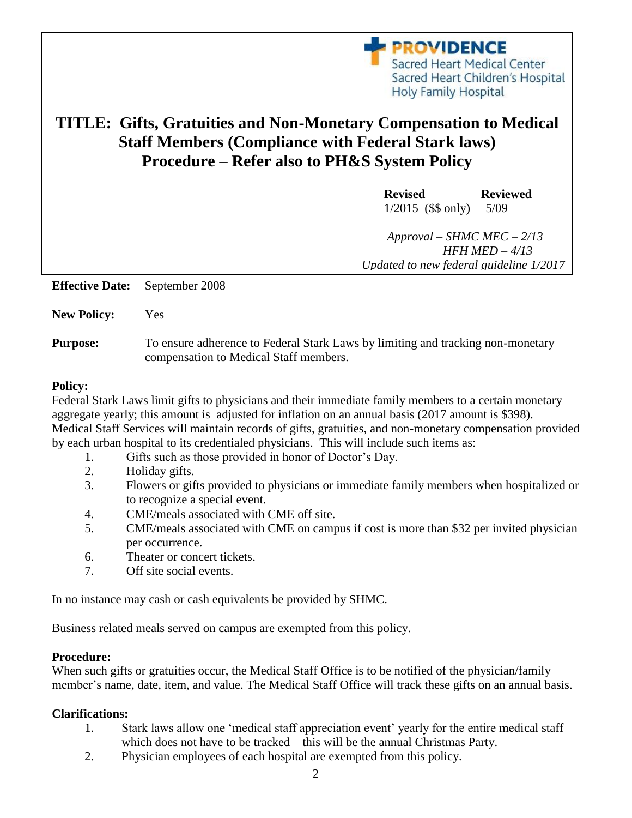**PROVIDENCE** Sacred Heart Medical Center Sacred Heart Children's Hospital Holy Family Hospital

# **TITLE: Gifts, Gratuities and Non-Monetary Compensation to Medical Staff Members (Compliance with Federal Stark laws) Procedure – Refer also to PH&S System Policy**

**Revised Reviewed** 1/2015 (\$\$ only) 5/09

 *Approval – SHMC MEC – 2/13 HFH MED – 4/13 Updated to new federal guideline 1/2017*

**Effective Date:** September 2008

**New Policy:** Yes

**Purpose:** To ensure adherence to Federal Stark Laws by limiting and tracking non-monetary compensation to Medical Staff members.

#### **Policy:**

Federal Stark Laws limit gifts to physicians and their immediate family members to a certain monetary aggregate yearly; this amount is adjusted for inflation on an annual basis (2017 amount is \$398). Medical Staff Services will maintain records of gifts, gratuities, and non-monetary compensation provided by each urban hospital to its credentialed physicians. This will include such items as:

- 1. Gifts such as those provided in honor of Doctor's Day.
- 2. Holiday gifts.
- 3. Flowers or gifts provided to physicians or immediate family members when hospitalized or to recognize a special event.
- 4. CME/meals associated with CME off site.
- 5. CME/meals associated with CME on campus if cost is more than \$32 per invited physician per occurrence.
- 6. Theater or concert tickets.
- 7. Off site social events.

In no instance may cash or cash equivalents be provided by SHMC.

Business related meals served on campus are exempted from this policy.

### **Procedure:**

When such gifts or gratuities occur, the Medical Staff Office is to be notified of the physician/family member's name, date, item, and value. The Medical Staff Office will track these gifts on an annual basis.

### **Clarifications:**

- 1. Stark laws allow one 'medical staff appreciation event' yearly for the entire medical staff which does not have to be tracked—this will be the annual Christmas Party.
- 2. Physician employees of each hospital are exempted from this policy.